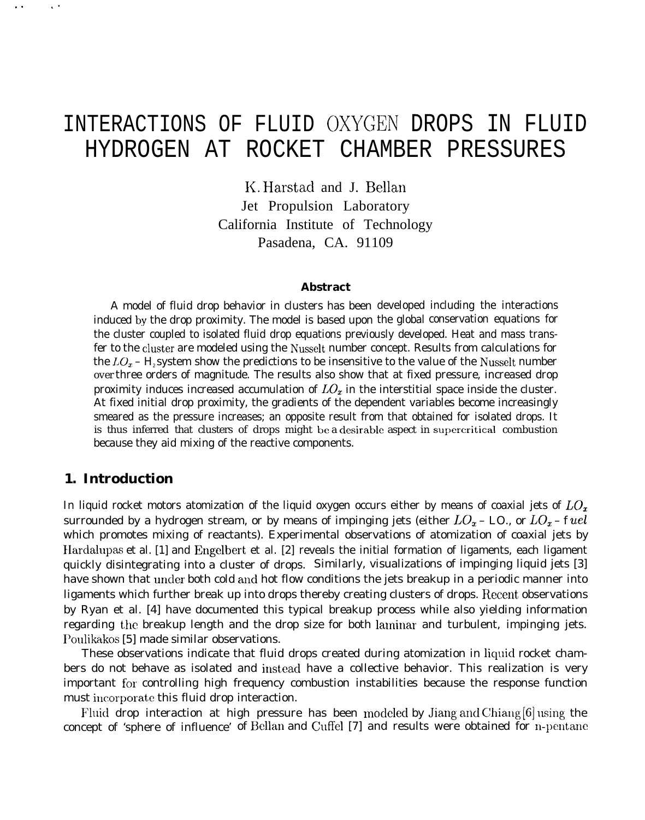## INTERACTIONS OF FLUID OXYGEN DROPS IN FLUID HYDROGEN AT ROCKET CHAMBER PRESSURES

K. Harstad and J. Bellan Jet Propulsion Laboratory California Institute of Technology Pasadena, CA. 91109

#### **Abstract**

A model of fluid drop behavior in clusters has been developed including the interactions induced by the drop proximity. The model is based upon the global conservation equations for the cluster coupled to isolated fluid drop equations previously developed. Heat and mass transfer to the cluster are modeled using the Nusselt number concept. Results from calculations for the  $LO<sub>x</sub>$  – H<sub>2</sub> system show the predictions to be insensitive to the value of the Nusselt number over three orders of magnitude. The results also show that at fixed pressure, increased drop proximity induces increased accumulation of  $LO<sub>x</sub>$  in the interstitial space inside the cluster. At fixed initial drop proximity, the gradients of the dependent variables become increasingly smeared as the pressure increases; an opposite result from that obtained for isolated drops. It is thus inferred that clusters of drops might be a desirable aspect in supercritical combustion because they aid mixing of the reactive components.

## **1. Introduction**

. . ,.

In liquid rocket motors atomization of the liquid oxygen occurs either by means of coaxial jets of  $LO<sub>x</sub>$ surrounded by a hydrogen stream, or by means of impinging jets (either  $LO_x - LO$ , or  $LO_x$  – fuel which promotes mixing of reactants). Experimental observations of atomization of coaxial jets by Hardalupas et al. [1] and Engelbert et al. [2] reveals the initial formation of ligaments, each ligament quickly disintegrating into a cluster of drops. Similarly, visualizations of impinging liquid jets [3] have shown that under both cold and hot flow conditions the jets breakup in a periodic manner into ligaments which further break up into drops thereby creating clusters of drops. Recent observations by Ryan et al. [4] have documented this typical breakup process while also yielding information regarding the breakup length and the drop size for both laminar and turbulent, impinging jets. Poulikakos [5] made similar observations.

These observations indicate that fluid drops created during atomization in liquid rocket chambers do not behave as isolated and instead have a collective behavior. This realization is very important for controlling high frequency combustion instabilities because the response function must incorporate this fluid drop interaction.

Fluid drop interaction at high pressure has been modeled by Jiang and Chiang  $[6]$  using the concept of 'sphere of influence' of Bellan and Cuffel [7] and results were obtained for n-pentane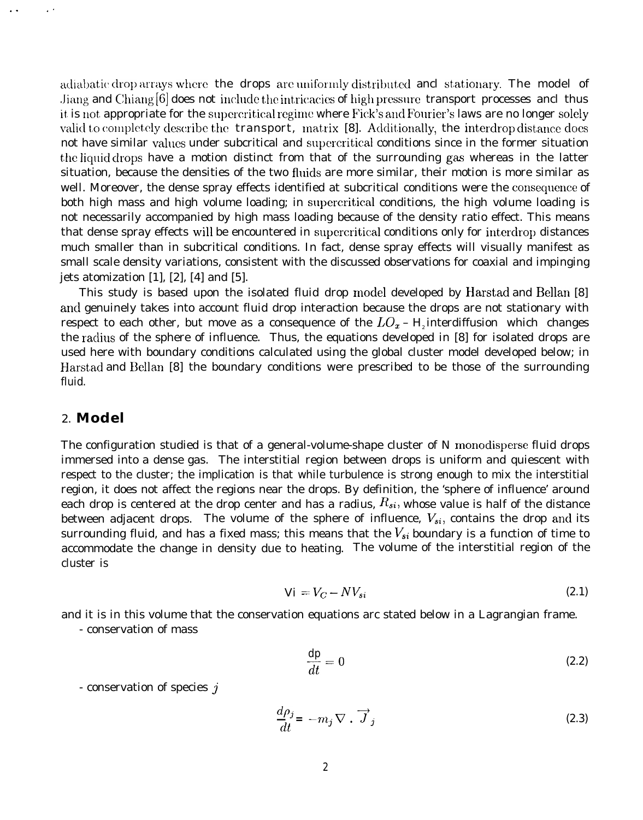adiabatic drop arrays where the drops are uniformly distributed ancl stationary. The model of Jiang and Chiang  $[6]$  does not include the intricacies of high pressure transport processes ancl thus it is not appropriate for the supercritical regime where Fick's and Fourier's laws are no longer solely valid to completely describe the **transport**, matrix [8]. Additionally, the interdrop distance does not have similar values under subcritical and supercritical conditions since in the former situation the liquid drops have a motion distinct from that of the surrounding gas whereas in the latter situation, because the densities of the two fluids are more similar, their motion is more similar as well. Moreover, the dense spray effects identified at subcritical conditions were the consequence of both high mass and high volume loading; in supercritical conditions, the high volume loading is not necessarily accompanied by high mass loading because of the density ratio effect. This means that dense spray effects will be encountered in supercritical conditions only for interdrop distances much smaller than in subcritical conditions. In fact, dense spray effects will visually manifest as small scale density variations, consistent with the discussed observations for coaxial and impinging jets atomization  $[1]$ ,  $[2]$ ,  $[4]$  and  $[5]$ .

This study is based upon the isolated fluid drop model developed by Harstad and Bellan [8] ancl genuinely takes into account fluid drop interaction because the drops are not stationary with respect to each other, but move as a consequence of the  $LO_x - H$ <sub>i</sub> interdiffusion which changes the raciius of the sphere of influence. Thus, the equations developed in [8] for isolated drops are used here with boundary conditions calculated using the global cluster model developed below; in Harstad and Bellan [8] the boundary conditions were prescribed to be those of the surrounding fluid.

## *2.* **Model**

. . . .

The configuration studied is that of a general-volume-shape cluster of N monodisperse fluid drops immersed into a dense gas. The interstitial region between drops is uniform and quiescent with respect to the cluster; the implication is that while turbulence is strong enough to mix the interstitial region, it does not affect the regions near the drops. By definition, the 'sphere of influence' around each drop is centered at the drop center and has a radius,  $R_{si}$ , whose value is half of the distance between adjacent drops. The volume of the sphere of influence,  $V_{si}$ , contains the drop and its surrounding fluid, and has a fixed mass; this means that the  $V_{si}$  boundary is a function of time to accommodate the change in density due to heating. The volume of the interstitial region of the cluster is

$$
Vi = V_C - NV_{si} \tag{2.1}
$$

and it is in this volume that the conservation equations arc stated below in a Lagrangian frame.

- conservation of mass

$$
\frac{dp}{dt} = 0\tag{2.2}
$$

- conservation of species  $j$ 

$$
\frac{d\rho_j}{dt} = -m_j \nabla \cdot \overrightarrow{J}_j \tag{2.3}
$$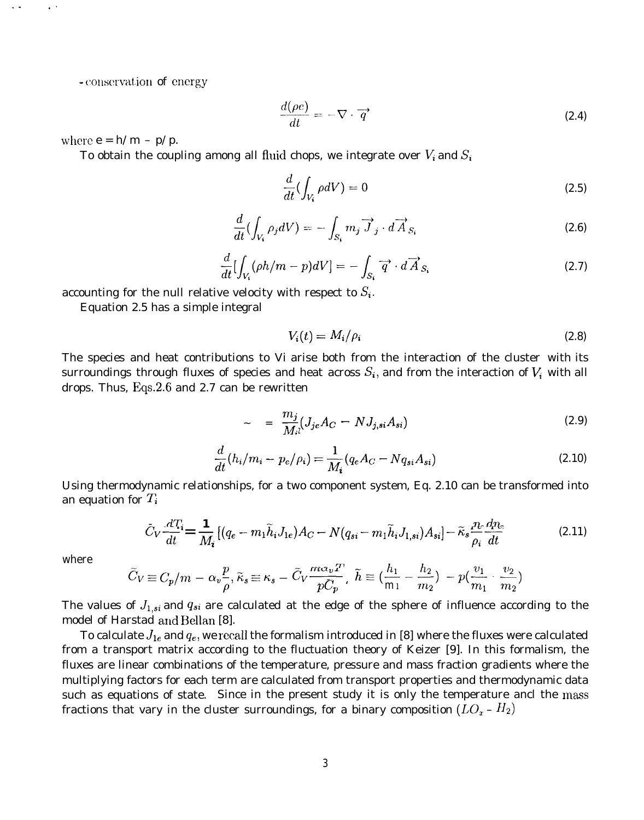- conservation of energy

$$
\frac{d(\rho e)}{dt} = -\nabla \cdot \vec{q} \tag{2.4}
$$

where  $e = h/m - p/p$ .

. . ,.

*To* obtain the coupling among all fluid chops, we integrate over  $V_i$  and  $S_i$ 

$$
\frac{d}{dt}\left(\int_{V_i} \rho dV\right) = 0\tag{2.5}
$$

$$
\frac{d}{dt}\left(\int_{V_i} \rho_j dV\right) = -\int_{S_i} m_j \overrightarrow{J}_j \cdot d\overrightarrow{A}_{S_i}
$$
\n(2.6)

$$
\frac{d}{dt}\left[\int_{V_i} (\rho h/m - p)dV\right] = -\int_{S_i} \overrightarrow{q} \cdot d\overrightarrow{A}_{S_i}
$$
\n(2.7)

accounting for the null relative velocity with respect to  $S_i$ .

Equation 2.5 has a simple integral

$$
V_i(t) = M_i / \rho_i \tag{2.8}
$$

The species and heat contributions to *Vi* arise both from the interaction of the cluster with its surroundings through fluxes of species and heat across  $S_{\bm i},$  and from the interaction of  $V_{\bm i}$  with all drops. Thus, Eqs.2.6 and 2.7 can be rewritten

$$
\sim \quad = \; \frac{m_j}{M_{il}} (J_{je} A_C \; - \; NJ_{j,si} A_{si}) \tag{2.9}
$$

$$
\frac{d}{dt}(h_i/m_i - p_e/\rho_i) = \frac{1}{M_i}(q_e A_C - Nq_{si} A_{si})
$$
\n(2.10)

Using thermodynamic relationships, for a two component system, Eq. 2.10 can be transformed into an equation for  $T_i$ 

$$
\bar{C}_V \frac{d T_i}{dt} = \frac{1}{M_i} \left[ (q_e - m_1 \tilde{h}_i J_{1e}) A_C - N(q_{si} - m_1 \tilde{h}_i J_{1,si}) A_{si} \right] - \tilde{\kappa}_s \frac{\eta_e}{\rho_i} \frac{d \eta_e}{dt}
$$
(2.11)

where

$$
\widetilde{C}_V \equiv C_p/m - \alpha_v \frac{p}{\rho}, \widetilde{\kappa}_s \equiv \kappa_s - \widetilde{C}_V \frac{m \alpha_v T}{p \widetilde{C}_p}, \ \widetilde{h} \equiv \left(\frac{h_1}{m_1} - \frac{h_2}{m_2}\right) - p \left(\frac{v_1}{m_1} \cdot \frac{v_2}{m_2}\right)
$$

The values of  $J_{1,si}$  and  $q_{si}$  are calculated at the edge of the sphere of influence according to the model of Harstad and Bellan [8].

To calculate  $J_{1e}$  and  $q_e$ , we recall the formalism introduced in [8] where the fluxes were calculated from a transport matrix according to the fluctuation theory of Keizer [9]. In this formalism, the fluxes are linear combinations of the temperature, pressure and mass fraction gradients where the multiplying factors for each term are calculated from transport properties and thermodynamic data such as equations of state. Since in the present study it is only the temperature ancl the mass fractions that vary in the cluster surroundings, for a binary composition  $(LO_x - H_2)$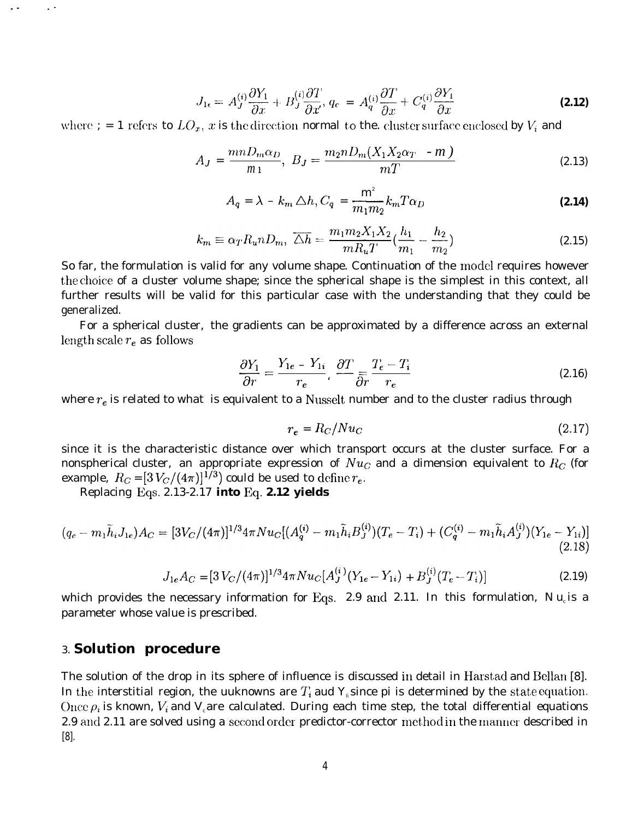$$
J_{1\epsilon} = A_J^{(i)} \frac{\partial Y_1}{\partial x} + B_J^{(i)} \frac{\partial T}{\partial x}, \ q_{\epsilon} = A_q^{(i)} \frac{\partial T}{\partial x} + C_q^{(i)} \frac{\partial Y_1}{\partial x}
$$
 (2.12)

where  $; = 1$  refers to  $LO<sub>x</sub>$ , x is the direction normal to the. cluster surface enclosed by  $V<sub>i</sub>$  and

$$
A_J = \frac{mnD_m\alpha_D}{m_1}, \ B_J = \frac{m_2nD_m(X_1X_2\alpha_T - m)}{mT}
$$
 (2.13)

$$
A_q = \lambda - k_m \triangle h, C_q = \frac{m^2}{m_1 m_2} k_m T \alpha_D
$$
\n(2.14)

$$
k_m \equiv \alpha_T R_u n D_m, \ \overline{\Delta h} = \frac{m_1 m_2 X_1 X_2}{m R_u T} \left(\frac{h_1}{m_1} - \frac{h_2}{m_2}\right) \tag{2.15}
$$

So far, the formulation is valid for any volume shape. Continuation of the model requires however the choice of a cluster volume shape; since the spherical shape is the simplest in this context, all further results will be valid for this particular case with the understanding that they could be generalized.

For a spherical cluster, the gradients can be approximated by a difference across an external length scale  $r_e$  as follows

$$
\frac{\partial Y_1}{\partial r} = \frac{Y_{1e} - Y_{1i}}{r_e}, \frac{\partial T}{\partial r} = \frac{T_e - T_i}{r_e}
$$
(2.16)

where  $r_e$  is related to what is equivalent to a Nusselt number and to the cluster radius through

$$
r_e = R_C / Nu_C \tag{2.17}
$$

since it is the characteristic distance over which transport occurs at the cluster surface. For a nonspherical cluster, an appropriate expression of  $Nu_C$  and a dimension equivalent to  $R_C$  (for example,  $R_C = [3 V_C/(4\pi)]^{1/3}$  could be used to define  $r_e$ .

Replacing Eqs. 2.13-2.17 **into Eq. 2.12 yields**

$$
(q_e - m_1 \tilde{h}_i J_{1e}) A_C = [3V_C/(4\pi)]^{1/3} 4\pi N u_C [(A_q^{(i)} - m_1 \tilde{h}_i B_J^{(i)}) (T_e - T_i) + (C_q^{(i)} - m_1 \tilde{h}_i A_J^{(i)}) (Y_{1e} - Y_{1i})]
$$
(2.18)

$$
J_{1e}A_C = [3 V_C/(4\pi)]^{1/3} 4\pi N u_C [A_J^{(i)}(Y_{1e} - Y_{1i}) + B_J^{(i)}(T_e - T_i)]
$$
 (2.19)

which provides the necessary information for Eqs. 2.9 and 2.11. In this formulation,  $Nu_{c}$  is a parameter whose value is prescribed.

## *3.* **Solution procedure**

 $\mathbf{r}$ 

The solution of the drop in its sphere of influence is discussed in detail in Harstad and Bellan [8]. In the interstitial region, the uuknowns are  $T_i$  aud Y<sub>k</sub> since pi is determined by the state equation. Once  $\rho_i$  is known,  $V_i$  and  $V_i$  are calculated. During each time step, the total differential equations 2.9 and 2.11 are solved using a second order predictor-corrector method in the manner described in [8].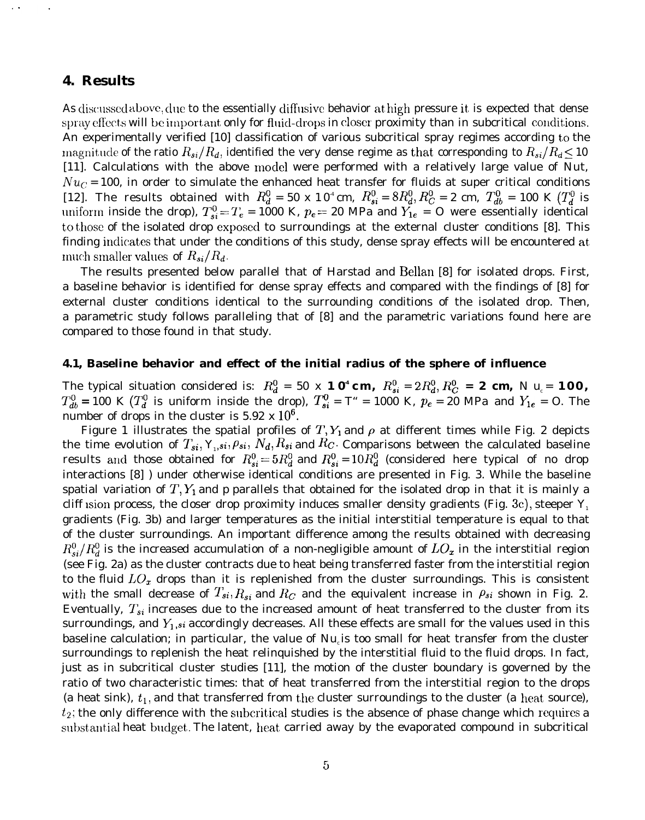## **4. Results**

As discussed above, due to the essentially diffusive behavior at high pressure it is expected that dense spray effects will be important only for fluid-drops in closer proximity than in subcritical conditions. An experimentally verified [10] classification of various subcritical spray regimes according to the magnitude of the ratio  $R_{si}/R_d$ , identified the very dense regime as that corresponding to  $R_{si}/R_d \leq 10$ [11]. Calculations with the above model were performed with a relatively large value of *Nut,*  $Nu<sub>C</sub> = 100$ , in order to simulate the enhanced heat transfer for fluids at super critical conditions [12]. The results obtained with  $R_d^0 = 50 \times 10^4$  cm,  $R_{si}^0 = 8R_d^0$ ,  $R_C^0 = 2$  cm,  $T_{db}^0 = 100$  K ( $T_d^0$  is uniform inside the drop),  $T_{si}^0 = T_e = 1000$  K,  $p_e = 20$  MPa and  $Y_{1e} = 0$  were essentially identical to those of the isolated drop exposecl to surroundings at the external cluster conditions [8]. This finding indicates that under the conditions of this study, dense spray effects will be encountered at much smaller values of  $R_{si}/R_d$ .

The results presented below parallel that of Harstad and Bellan [8] for isolated drops. First, a baseline behavior is identified for dense spray effects and compared with the findings of [8] for external cluster conditions identical to the surrounding conditions of the isolated drop. Then, a parametric study follows paralleling that of [8] and the parametric variations found here are compared to those found in that study.

### **4.1, Baseline behavior and effect of the initial radius of the sphere of influence**

The typical situation considered is:  $R_d^0 = 50$  **x 1**  $\mathbf{0}^4$  **cm,**  $R_{si}^0 = 2R_d^0$ ,  $R_C^0 = \mathbf{2}$  cm,  $N$   $u_c = \mathbf{100}$ ,  $T^0_{db}$  = 100 K ( $T^0_d$  is uniform inside the drop),  $T^0_{si}$  = T" = 1000 K,  $p_e$  = 20 MPa and  $Y_{1e}$  = O. The number of drops in the cluster is  $5.92 \times 10^6$ .

Figure 1 illustrates the spatial profiles of T,  $Y_1$  and  $\rho$  at different times while Fig. 2 depicts the time evolution of  $T_{si}$ ,  $Y_{1}$ ,  $s_i$ ,  $\rho_{si}$ ,  $N_d$ ,  $R_{si}$  and  $R_C$ . Comparisons between the calculated baseline results and those obtained for  $R_{si}^0 = 5R_d^0$  and  $R_{si}^0 = 10R_d^0$  (considered here typical of no drop interactions [8] ) under otherwise identical conditions are presented in Fig. 3. While the baseline spatial variation of  $T, Y_1$  and *p* parallels that obtained for the isolated drop in that it is mainly a cliff usion process, the closer drop proximity induces smaller density gradients (Fig. 3c), steeper  $Y_1$ gradients (Fig. 3b) and larger temperatures as the initial interstitial temperature is equal to that of the cluster surroundings. An important difference among the results obtained with decreasing  $R_{si}^0/R_d^0$  is the increased accumulation of a non-negligible amount of  $LO_x$  in the interstitial region (see Fig. 2a) as the cluster contracts due to heat being transferred faster from the interstitial region to the fluid  $LO<sub>x</sub>$  drops than it is replenished from the cluster surroundings. This is consistent with the small decrease of  $T_{si}, R_{si}$  and  $R_C$  and the equivalent increase in  $\rho_{si}$  shown in Fig. 2. Eventually,  $T_{si}$  increases due to the increased amount of heat transferred to the cluster from its surroundings, and  $Y_1$ , si accordingly decreases. All these effects are small for the values used in this baseline calculation; in particular, the value of *Nu*<sub>*i*</sub> is too small for heat transfer from the cluster surroundings to replenish the heat relinquished by the interstitial fluid to the fluid drops. In fact, just as in subcritical cluster studies [11], the motion of the cluster boundary is governed by the ratio of two characteristic times: that of heat transferred from the interstitial region to the drops (a heat sink),  $t_1$ , and that transferred from the cluster surroundings to the cluster (a heat source),  $t_2$ ; the only difference with the subcritical studies is the absence of phase change which requires a substantial heat budget. The latent, heat carried away by the evaporated compound in subcritical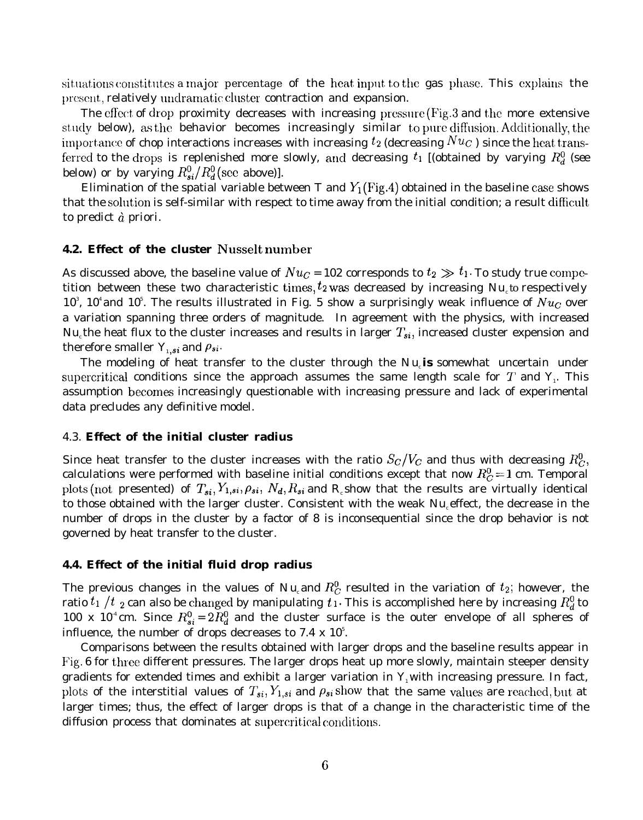situations constitutes a major percentage of the heat input to the gas phase. This explains the present, relatively undramatic cluster contraction and expansion.

The effect of drop proximity decreases with increasing pressure (Fig.3 and the more extensive study below), as the behavior becomes increasingly similar to pure diffusion. Additionally, the importance of chop interactions increases with increasing  $t_2$  (decreasing  $Nuc$ ) since the heat transferred to the drops is replenished more slowly, and decreasing  $t_1$  [(obtained by varying  $R_d^0$  (see below) or by varying  $R_{si}^0/R_d^0$  (see above)].

Elimination of the spatial variable between T and  $Y_1$ (Fig.4) obtained in the baseline case shows that the solution is self-similar with respect to time away from the initial condition; a result difficult to predict d *priori.*

### **4.2. Effect of the cluster Nusselt number**

As discussed above, the baseline value of  $Nu_C = 102$  corresponds to  $t_2 \gg t_1$ . To study true competition between these two characteristic times,  $t_2$  was decreased by increasing  $Nu_c$  to respectively 10<sup>3</sup>, 10<sup>4</sup> and 10<sup>5</sup>. The results illustrated in Fig. 5 show a surprisingly weak influence of  $Nu<sub>C</sub>$  over a variation spanning three orders of magnitude. In agreement with the physics, with increased  $Nu_{c}$ the heat flux to the cluster increases and results in larger  $T_{si}$ , increased cluster expension and therefore smaller  $Y_{1,si}$  and  $\rho_{si}$ .

The modeling of heat transfer to the cluster through the *Nu*<sub>*i*</sub>s somewhat uncertain under supercritical conditions since the approach assumes the same length scale for  $T$  and  $\mathbf{Y}_{i}$ . This assumption becomes increasingly questionable with increasing pressure and lack of experimental data precludes any definitive model.

### 4.3. **Effect of the initial cluster radius**

Since heat transfer to the cluster increases with the ratio  $S_c/V_c$  and thus with decreasing  $R_c^0$ , calculations were performed with baseline initial conditions except that now  $R_C^0 = 1$  cm. Temporal plots (not presented) of  $T_{si}$ ,  $Y_{1,si}$ ,  $\rho_{si}$ ,  $N_d$ ,  $R_{si}$  and  $R_c$ *show* that the results are virtually identical to those obtained with the larger cluster. Consistent with the weak *Nu*<sub>c</sub> effect, the decrease in the number of drops in the cluster by a factor of 8 is inconsequential since the drop behavior is not governed by heat transfer to the cluster.

#### **4.4. Effect of the initial fluid drop radius**

The previous changes in the values of  $Nu_{c}$  and  $R_C^0$  resulted in the variation of  $t_2$ ; however, the ratio  $t_1$  /t <sub>2</sub> can also be changed by manipulating  $t_1$ . This is accomplished here by increasing  $R_d^0$  to 100 x 10<sup>-4</sup> cm. Since  $R_{si}^0 = 2R_d^0$  and the cluster surface is the outer envelope of all spheres of influence, the number of drops decreases to 7.4  $\times$  10<sup>5</sup>.

Comparisons between the results obtained with larger drops and the baseline results appear in Fig. 6 for three different pressures. The larger drops heat up more slowly, maintain steeper density gradients for extended times and exhibit a larger variation in  $Y_1$  with increasing pressure. In fact, plots of the interstitial values of  $T_{si}$ ,  $Y_{1,si}$  and  $\rho_{si}$  show that the same values are reached, but at larger times; thus, the effect of larger drops is that of a change in the characteristic time of the diffusion process that dominates at supercritical conditions.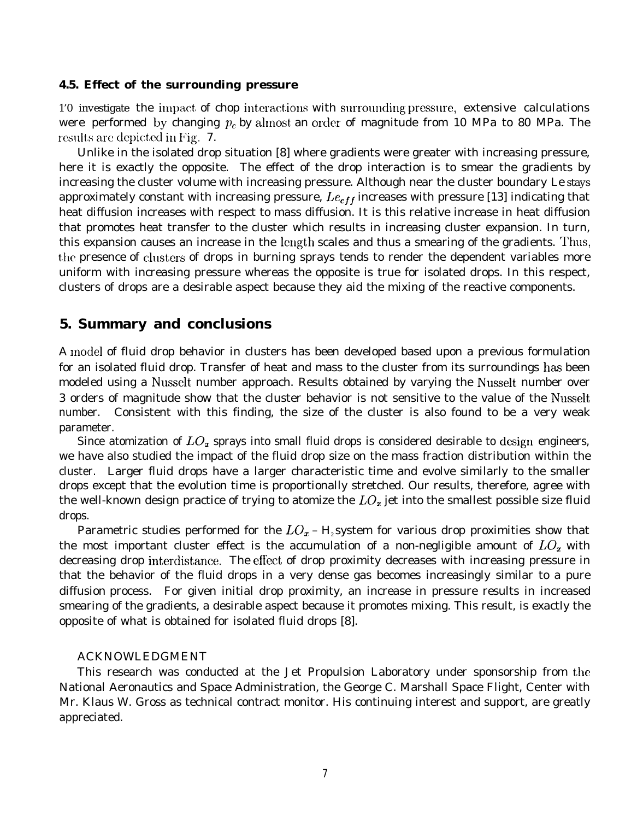#### **4.5. Effect of the surrounding pressure**

1'0 investigate the impact of chop interactions with surrounding pressure, extensive calculations were performed by changing  $p_e$  by almost an order of magnitude from 10 MPa to 80 MPa. The results are depicted in Fig. 7.

Unlike in the isolated drop situation [8] where gradients were greater with increasing pressure, here it is exactly the opposite. The effect of the drop interaction is to smear the gradients by increasing the cluster volume with increasing pressure. Although near the cluster boundary *Le* stays approximately constant with increasing pressure,  $Le_{eff}$  increases with pressure [13] indicating that heat diffusion increases with respect to mass diffusion. It is this relative increase in heat diffusion that promotes heat transfer to the cluster which results in increasing cluster expansion. In turn, this expansion causes an increase in the length scales and thus a smearing of the gradients. Thus, the presence of clusters of drops in burning sprays tends to render the dependent variables more uniform with increasing pressure whereas the opposite is true for isolated drops. In this respect, clusters of drops are a desirable aspect because they aid the mixing of the reactive components.

## **5. Summary and conclusions**

A moclel of fluid drop behavior in clusters has been developed based upon a previous formulation for an isolated fluid drop. Transfer of heat and mass to the cluster from its surroundings has been modeled using a Nusselt number approach. Results obtained by varying the Nusselt number over 3 orders of magnitude show that the cluster behavior is not sensitive to the value of the Nusselt number. Consistent with this finding, the size of the cluster is also found to be a very weak parameter.

Since atomization of  $LO<sub>x</sub>$  sprays into small fluid drops is considered desirable to design engineers, we have also studied the impact of the fluid drop size on the mass fraction distribution within the cluster. Larger fluid drops have a larger characteristic time and evolve similarly to the smaller drops except that the evolution time is proportionally stretched. Our results, therefore, agree with the well-known design practice of trying to atomize the  $LO<sub>x</sub>$  jet into the smallest possible size fluid drops.

Parametric studies performed for the  $LO<sub>x</sub> - H<sub>2</sub>$  system for various drop proximities show that the most important cluster effect is the accumulation of a non-negligible amount of  $LO<sub>x</sub>$  with decreasing drop interdistance. The effect of drop proximity decreases with increasing pressure in that the behavior of the fluid drops in a very dense gas becomes increasingly similar to a pure diffusion process. For given initial drop proximity, an increase in pressure results in increased smearing of the gradients, a desirable aspect because it promotes mixing. This result, is exactly the opposite of what is obtained for isolated fluid drops [8].

#### ACKNOWLEDGMENT

This research was conducted at the Jet Propulsion Laboratory under sponsorship from the National Aeronautics and Space Administration, the George C. Marshall Space Flight, Center with Mr. Klaus W. Gross as technical contract monitor. His continuing interest and support, are greatly appreciated.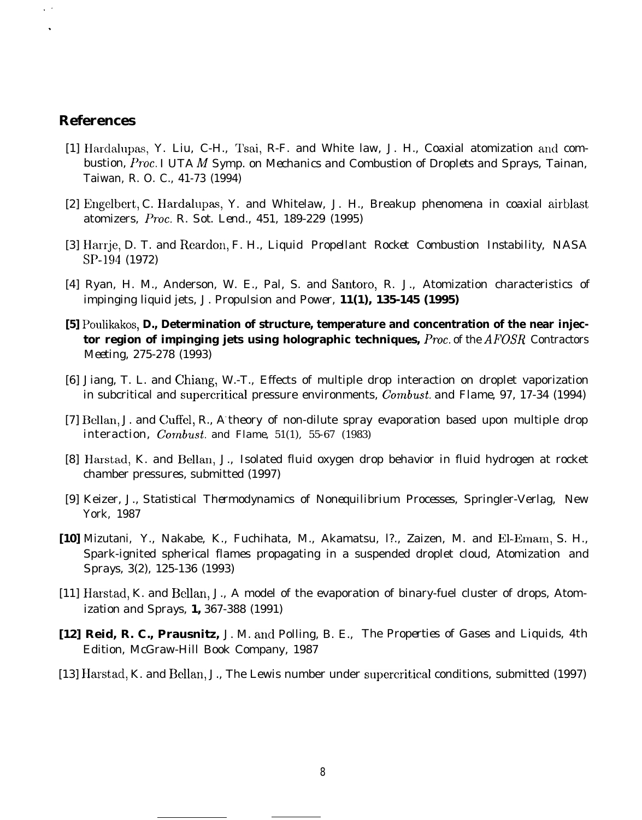## **References**

 $\lambda$ .

- [1] Hardalupas, Y. Liu, C-H., Tsai, R-F. and White law, J. H., Coaxial atomization and combustion, *Proc. I UTA M Symp. on Mechanics and Combustion of Droplets and Sprays,* Tainan, Taiwan, R. O. C., 41-73 (1994)
- [2] Engelbert, C. Hardalupas, Y. and Whitelaw, J. H., Breakup phenomena in coaxial airblast atomizers, *Proc. R. Sot. Lend., 451, 189-229 (1995)*
- [3] Harrje, D. T. and Reardon, F. H., *Liquid Propellant Rocket Combustion Instability,* NASA SP-194 (1972)
- [4] Ryan, H. M., Anderson, W. E., Pal, S. and Santoro, R. J., Atomization characteristics of impinging liquid jets, *J. Propulsion and Power,* **11(1), 135-145 (1995)**
- **[5] Poulikakos, D., Determination of structure, temperature and concentration of the near injector region of impinging jets using holographic techniques,** *Proc. of the AFOSR Contractors Meeting, 275-278 (1993)*
- [6] Jiang, T. L. and Chiang, W.-T., Effects of multiple drop interaction on droplet vaporization in subcritical and supercritical pressure environments, *Combust. and Flame, 97, 17-34 (1994)*
- [7] 13ellan, J. and Cuffel, R., A- theory of non-dilute spray evaporation based upon multiple drop interaction, *Combust. and Flame,* 51(1), 55-67 (1983)
- [8] Harstad, K. and Bellan, J., Isolated fluid oxygen drop behavior in fluid hydrogen at rocket chamber pressures, submitted (1997)
- [9] Keizer, J., *Statistical Thermodynamics of Nonequilibrium Processes,* Springler-Verlag, New York, 1987
- **[10]** Mizutani, Y., Nakabe, K., Fuchihata, M., Akamatsu, l?., Zaizen, M. and E1-Emam, S. H., Spark-ignited spherical flames propagating in a suspended droplet cloud, *Atomization and Sprays, 3(2), 125-136 (1993)*
- [11] Harstad, K. and Bellan, J., A model of the evaporation of binary-fuel cluster of drops, *Atomization and Sprays,* **1,** 367-388 (1991)
- **[12] Reid, R. C., Prausnitz,** J. M. ancl Polling, B. E., *The Properties of Gases and Liquids,* 4th Edition, McGraw-Hill Book Company, 1987
- [13] Harstad, K. and Bellan, J., The Lewis number under supercritical conditions, submitted (1997)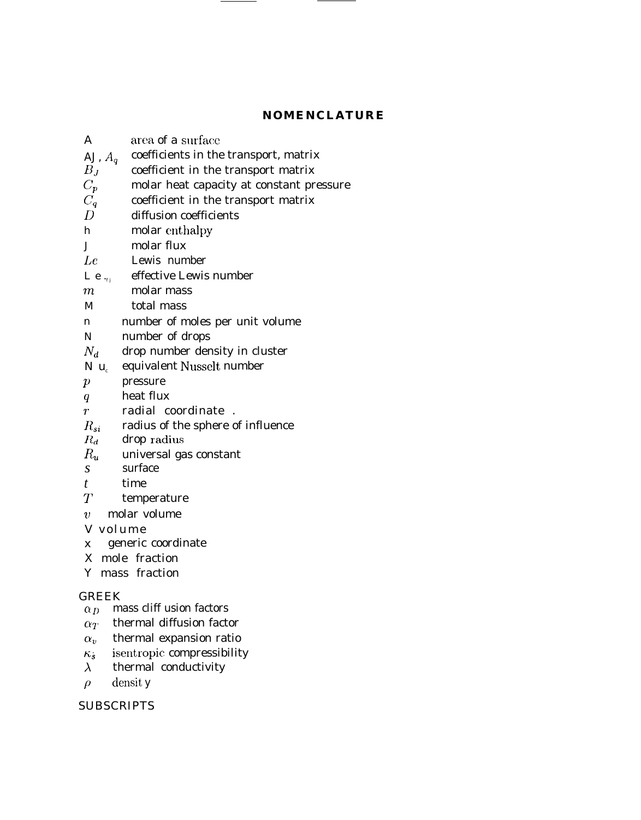## **NOMENCLATURE**

 $\overline{\phantom{0}}$ 

| $\boldsymbol{A}$ | area of a surface                          |
|------------------|--------------------------------------------|
| AJ, $A_q$        | coefficients in the transport, matrix      |
| $B_J$            | coefficient in the transport matrix        |
| $C_p$            | molar heat capacity at constant pressure   |
| $C_q$            | coefficient in the transport matrix        |
| $\overline{D}$   | diffusion coefficients                     |
| h                | molar enthalpy                             |
|                  | molar flux<br>$J$ and $J$                  |
|                  | $Le$ and $I$<br>Lewis number               |
|                  | <i>Le</i> $_{ij}$ effective Lewis number   |
| $m$ –            | molar mass                                 |
| $M_{-}$          | total mass                                 |
| $\mathbf{n}$     | number of moles per unit volume            |
| N                | number of drops                            |
| $N_d$            | drop number density in cluster             |
|                  | $N u_c$ equivalent Nusselt number          |
| $\boldsymbol{p}$ | pressure                                   |
| q                | heat flux                                  |
| r                | radial coordinate                          |
|                  | $R_{si}$ radius of the sphere of influence |
|                  | $R_d$ drop radius                          |
|                  | $R_u$ universal gas constant               |
| $\boldsymbol{S}$ | surface                                    |
| t                | time                                       |
| $T-$             | temperature                                |
|                  | $v$ molar volume                           |
|                  | V volume                                   |
|                  | x generic coordinate                       |
|                  | X mole fraction                            |
|                  | Y mass fraction                            |
| <b>GREEK</b>     |                                            |
| $\alpha_D$       | mass cliff usion factors                   |
| $\alpha_T$       | thermal diffusion factor                   |
| $\alpha$ .       | thermal expansion ratio                    |
| $\kappa_s$       | isentropic compressibility                 |
| $\lambda$        | thermal conductivity                       |
| $\rho$           | densit y                                   |
|                  |                                            |

## **SUBSCRIPTS**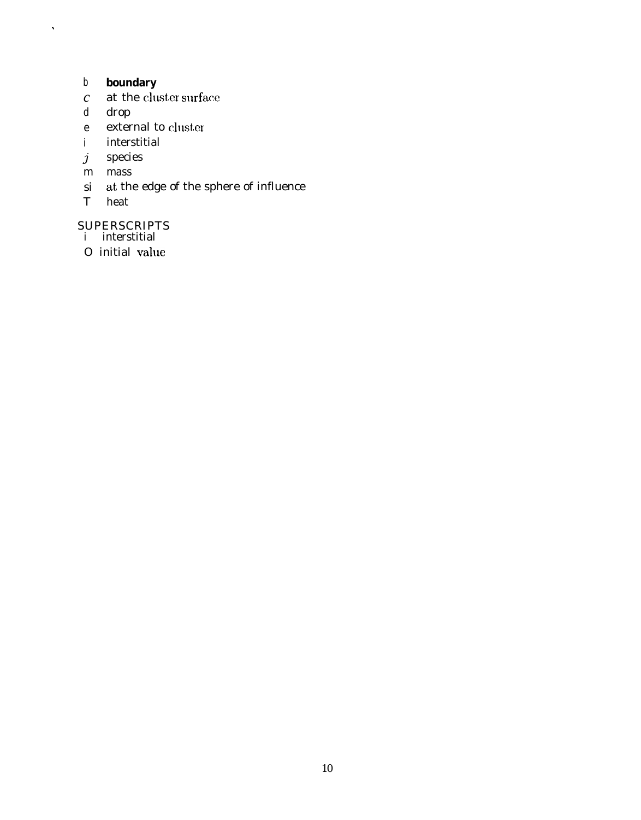#### boundary  $\boldsymbol{b}$

- at the cluster surface  $\mathcal{C}$
- drop  $d_{-}$

 $\hat{\mathbf{v}}$ 

- external to cluster  $\boldsymbol{e}$
- interstitial  $\mathbf{i}$
- $\boldsymbol{j}$ species
- $m$  mass
- $si$  at the edge of the sphere of influence
- $T$  heat

# SUPERSCRIPTS<br>i interstitial

- 
- O initial value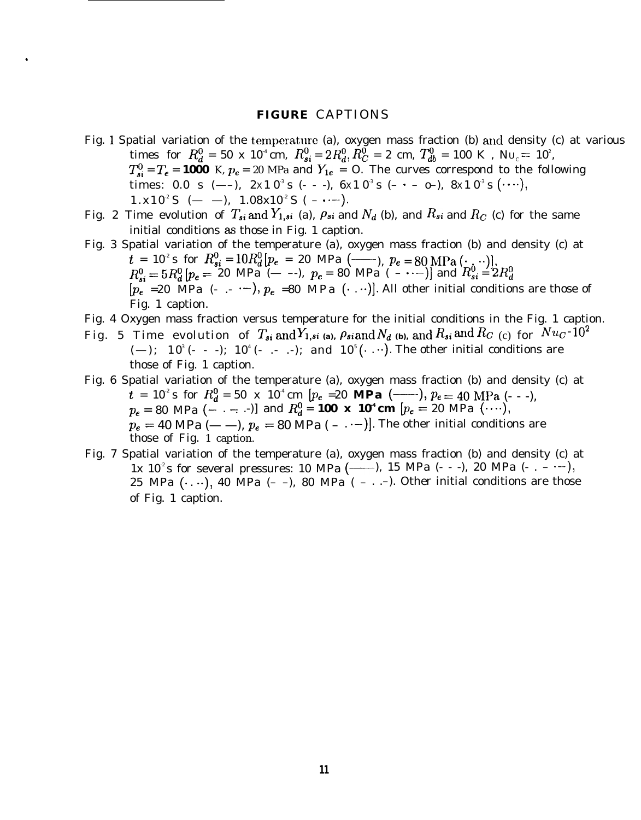#### **FIGURE** CAPTIONS

.

- Fig. 1 Spatial variation of the temperature (a), oxygen mass fraction (b) and density (c) at various times for  $R_d^0 = 50$  x  $10^4$  cm,  $R_{si}^0 = 2R_d^0$ ,  $R_C^0 = 2$  cm,  $T_{db}^0 = 100$  K ,  $N_{U_C} = 10^2$ ,  $T_{si}^0 = T_e = 1000$  K,  $p_e = 20$  MPa and  $Y_{1e} = 0$ . The curves correspond to the following times:  $0.0\,$  s  $(--)$ ,  $2 \mathrm{x} 1\, 0^{\text{3}}$  s  $(-$  -  $-)$ ,  $6 \mathrm{x} 1\, 0^{\text{3}}$  s  $( \cdot$   $\,0-)$ ,  $8 \mathrm{x} 1\, 0^{\text{3}}$  s  $(\cdots),$  $1.x10^2S$  (- -),  $1.08x10^2S$  (-  $\dots$ ).
- Fig. 2 Time evolution of  $T_{si}$  and  $Y_{1,si}$  (a),  $\rho_{si}$  and  $N_d$  (b), and  $R_{si}$  and  $R_c$  (c) for the same initial conditions as those in Fig. 1 caption.
- Fig. 3 Spatial variation of the temperature (a), oxygen mass fraction (b) and density (c) at  $t = 10^2$  s for  $R_{si}^0 = 10R_d^0$   $[pe = 20$  MPa  $(\underline{\hspace{0.2cm}})$ ,  $Pe = 80$  MPa  $(\underline{\hspace{0.2cm}})$ ,  $R_{si}^{0} = 5R_d^0 \left[ p_e = 20 \text{ MPa } (- -), p_e = 80 \text{ MPa } (- -) \right]$  and  $R_{si}^0 = 2R_d^0$  $[p_e = 20 \text{ MPa } (-,-,-), p_e = 80 \text{ MPa } (-, \cdot \cdot)]$ . All other initial conditions are those of Fig. 1 caption.
- Fig. 4 Oxygen mass fraction versus temperature for the initial conditions in the Fig. 1 caption.
- Fig. 5 Time evolution of  $T_{si}$  and  $Y_{1,si}$  (a),  $\rho_{si}$  and  $N_d$  (b), and  $R_{si}$  and  $R_{C}$  (c) for  $Nu_C$ <sup>-102</sup> (—);  $10^{\degree}$  (- - -);  $10^{\degree}$  (- .- .-); and  $10^{\degree}$  ( $\cdot$  .…). The other initial conditions are those of Fig. 1 caption.
- Fig. 6 Spatial variation of the temperature (a), oxygen mass fraction (b) and density (c) at  $t = 10^2$  s for  $R_d^0 = 50 \times 10^4$  cm  $[p_e = 20 \text{ MPa } (- \cdot), p_e = 40 \text{ MPa } (- \cdot),$  $p_e = 80 \text{ MPa } (- \cdot - \cdot - \cdot)$ ] and  $R_d^0 = 100 \text{ x } 10^4 \text{ cm } [p_e = 20 \text{ MPa } (\cdot \cdot \cdot \cdot),]$  $p_e = 40$  MPa (- --),  $p_e = 80$  MPa (-  $\cdots$ ). The other initial conditions are those of Fig. 1 caption.
- Fig. 7 Spatial variation of the temperature (a), oxygen mass fraction (b) and density (c) at 1x  $10^2$ s for several pressures: 10 MPa (-----), 15 MPa (- - -), 20 MPa (- . - .--), 25 MPa  $(\cdot, \cdot)$ , 40 MPa  $(-)$ , 80 MPa  $(- \cdot, -)$ . Other initial conditions are those of Fig. 1 caption.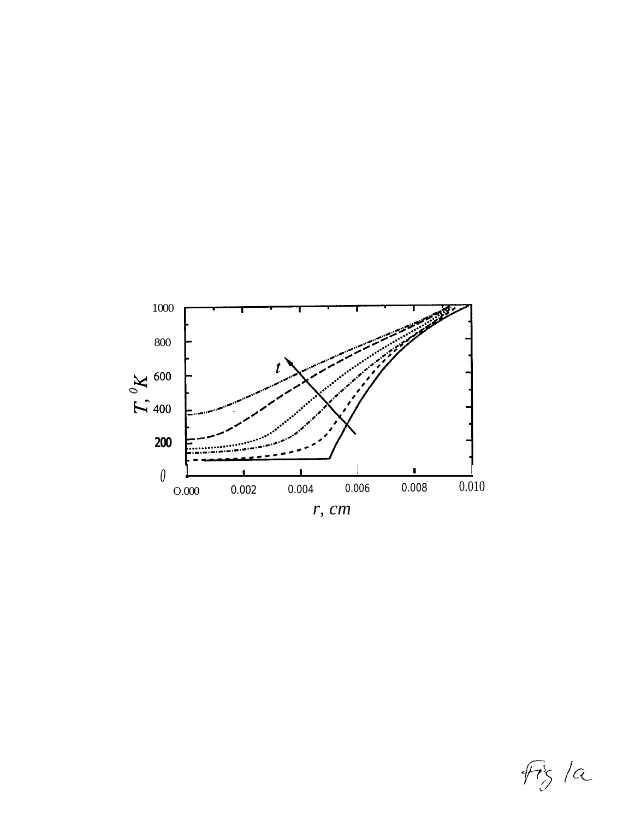

 $f \dot{r}$ s/a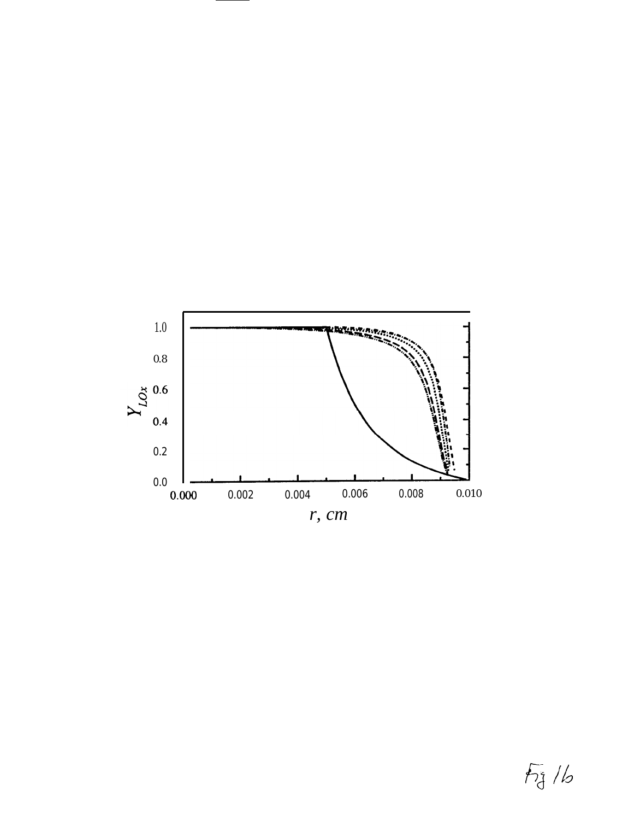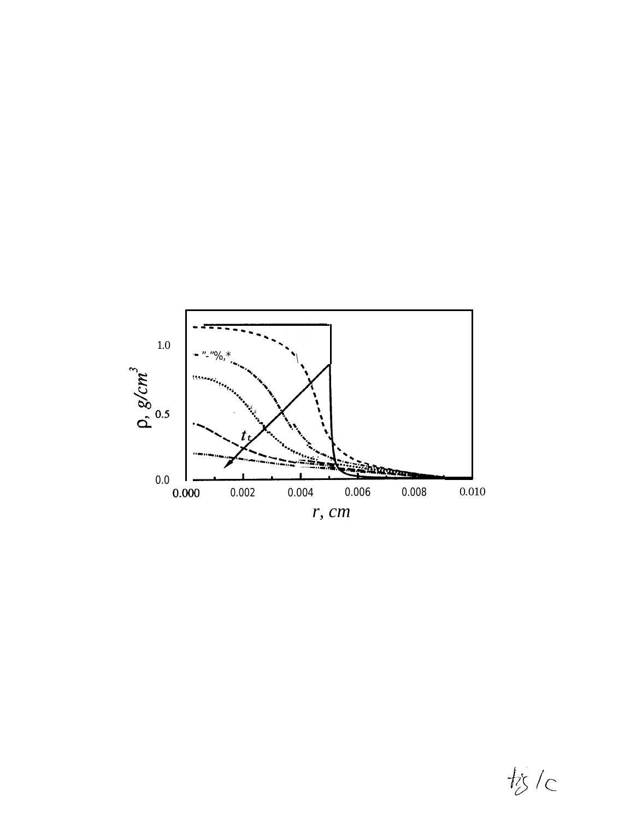

**松**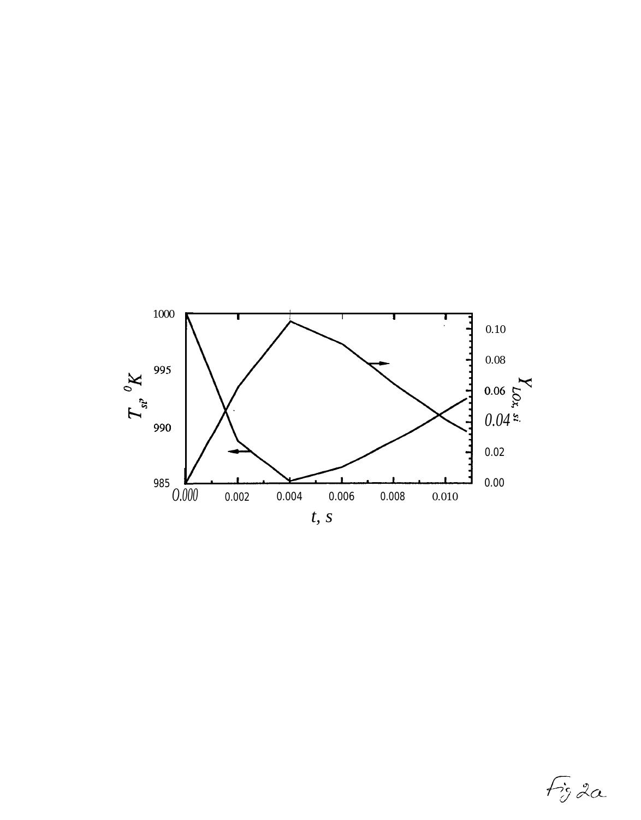

 $f$ ig 2 $\alpha$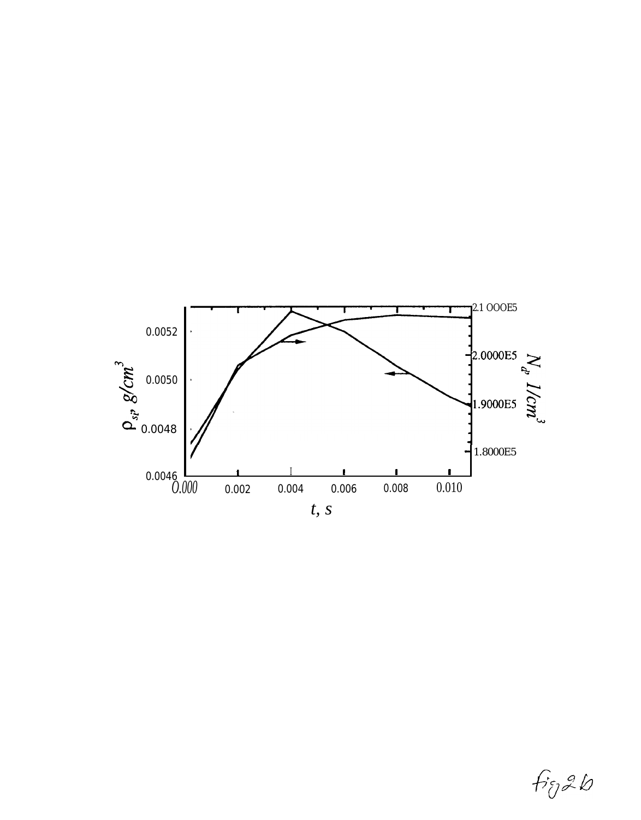

fig2b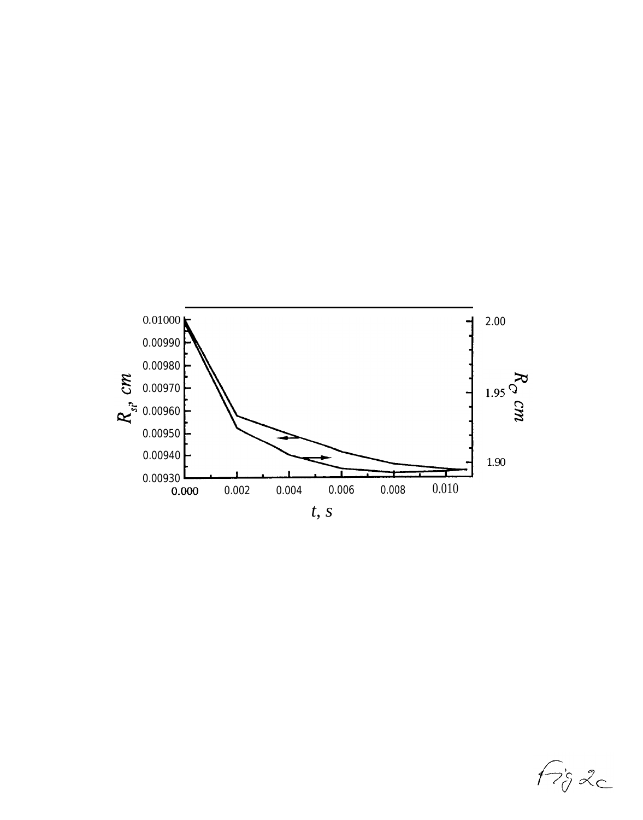

 $f$  $i<sub>j</sub>$  20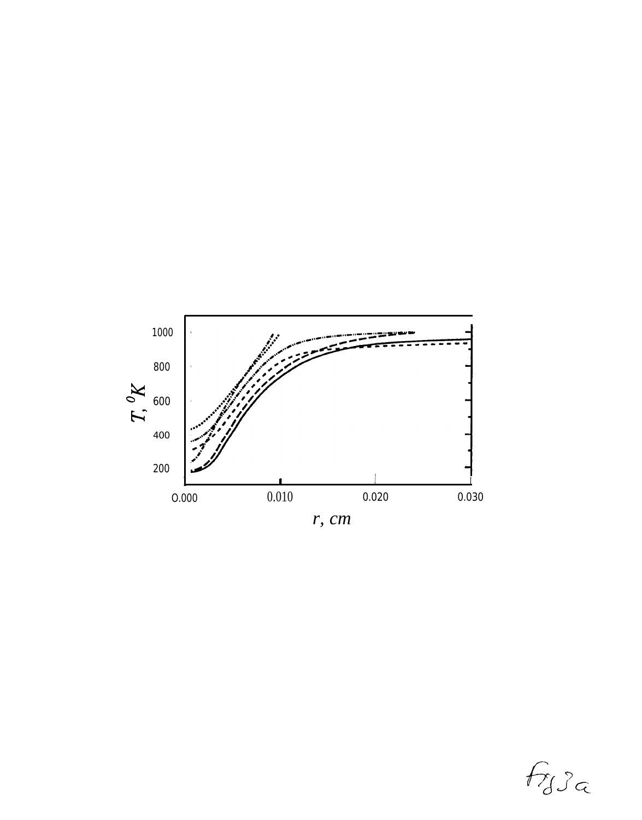

 $f_{J}$  $c$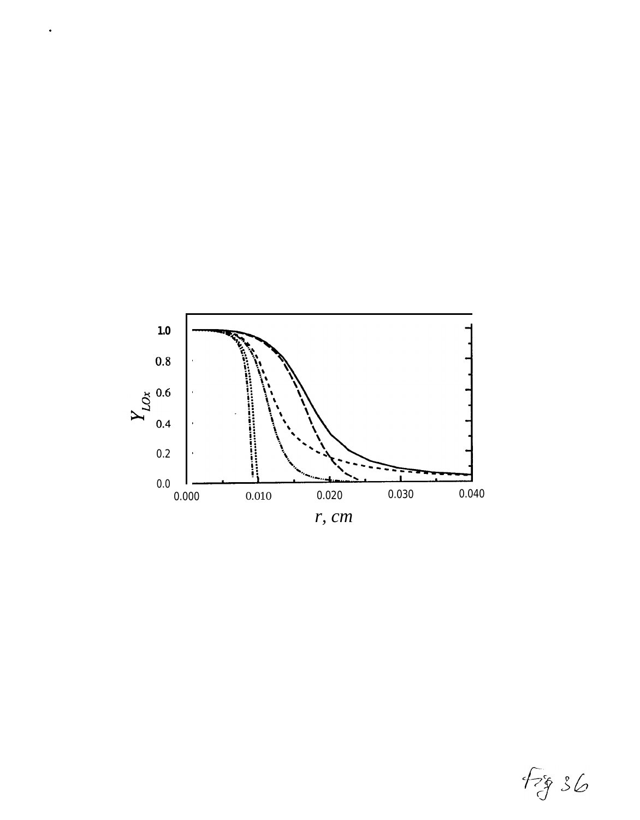

 $\bullet$ 

 $f_{38}$  36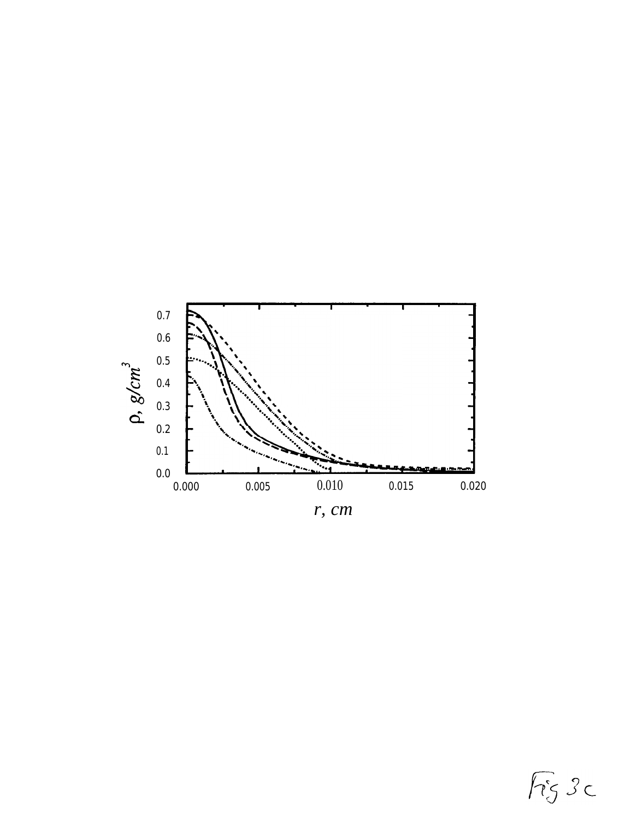

 $F<sub>5</sub>$  3c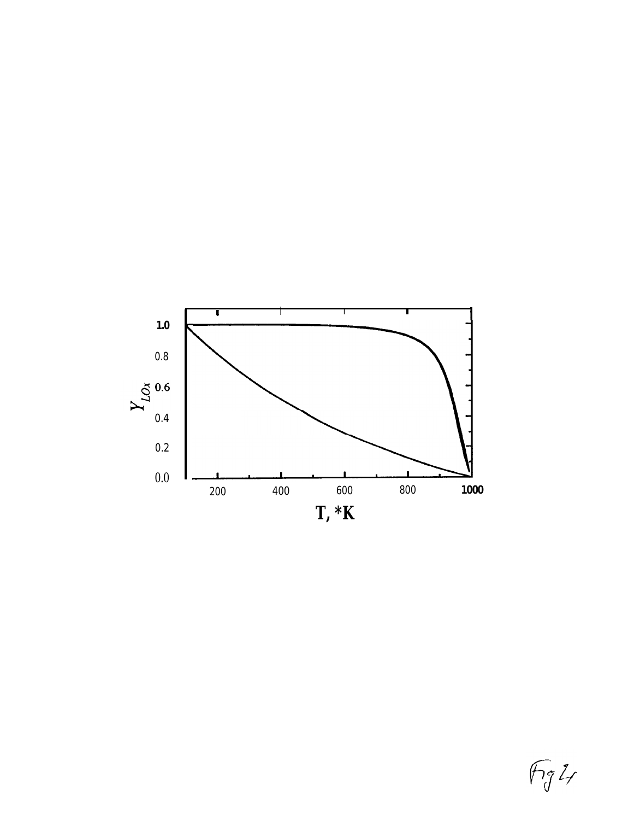

 $\sqrt{\frac{1}{3}}$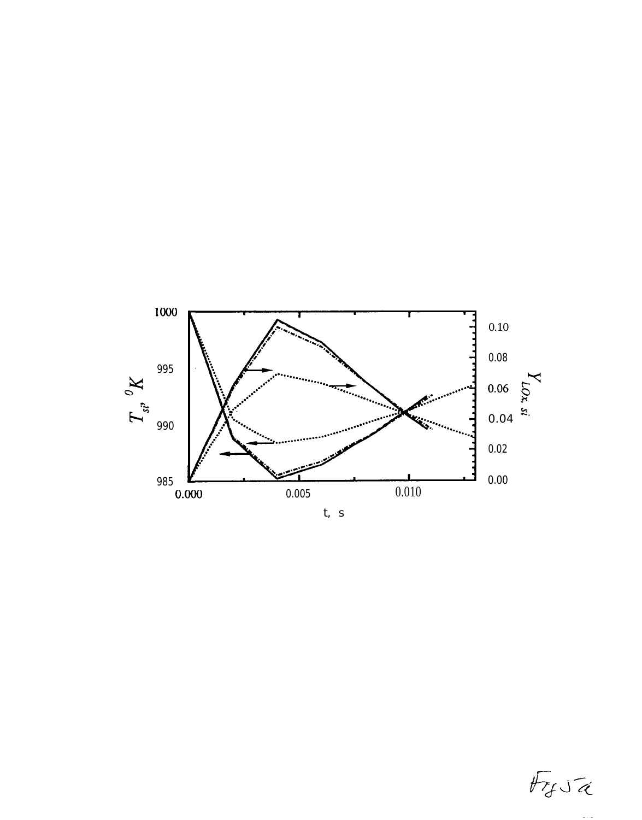

 $F_f \cup \tilde{\alpha}$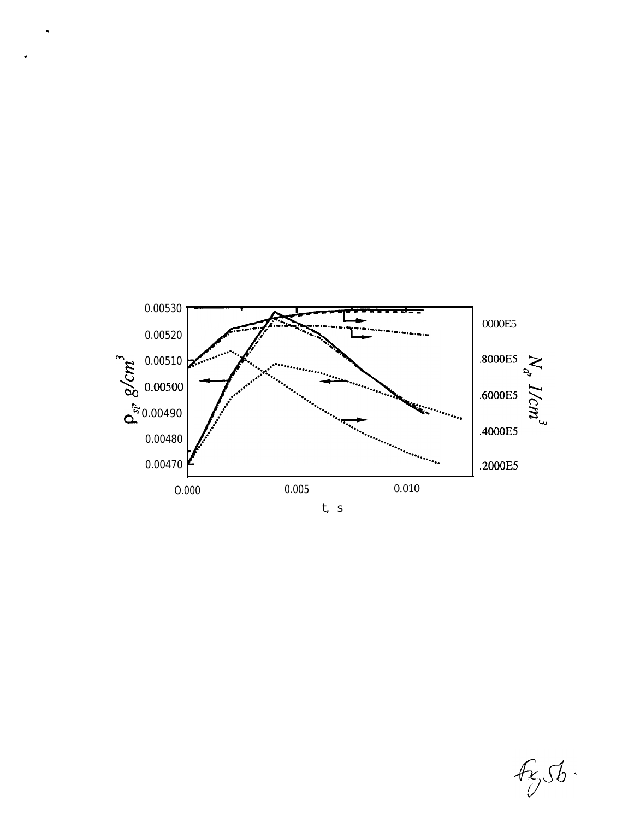

 $\ddot{\phantom{0}}$ 

 $f_{\mathcal{E}_j}$ Sb.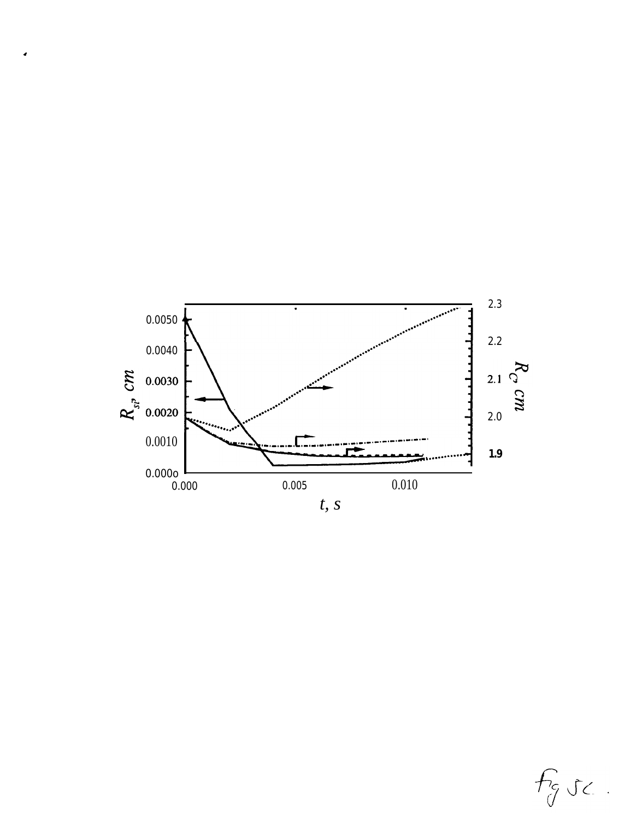

 $\overline{\phantom{a}}$ 

 $f_{\mathcal{J}}$ sc.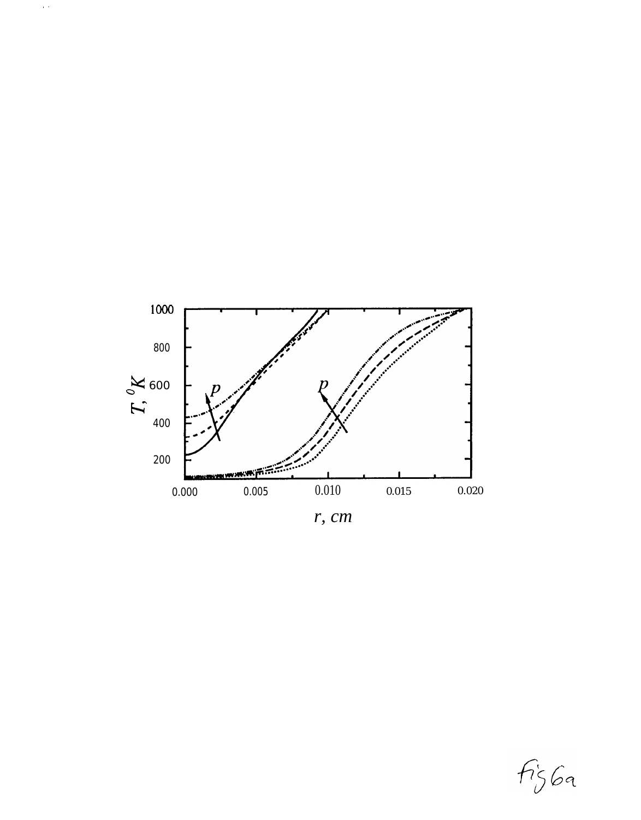

 $\hat{f}(\hat{r})$ 

 $r, cm$ 

 $f\mathfrak{z}_569$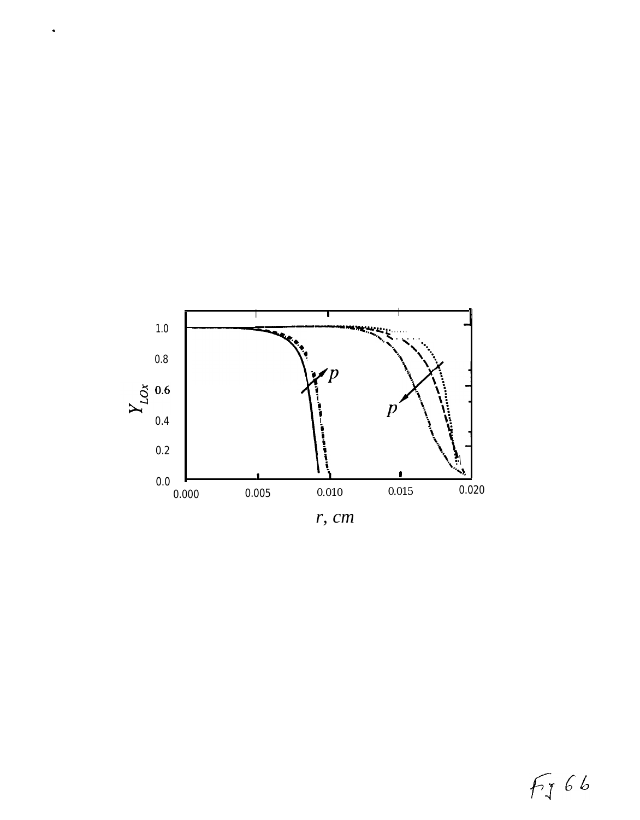

 $\ddot{\phantom{0}}$ 

FJ 66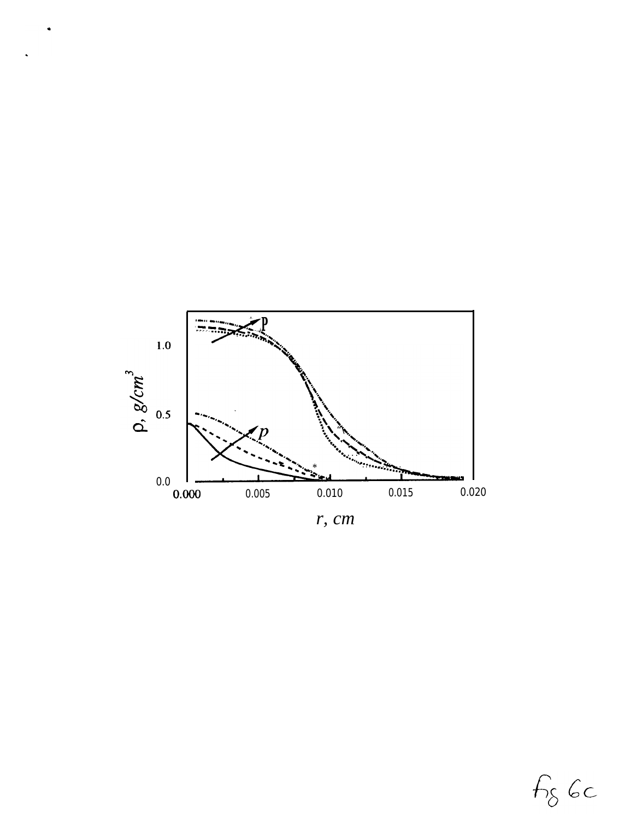

 $r, cm$ 

 $f_{\delta}$  6c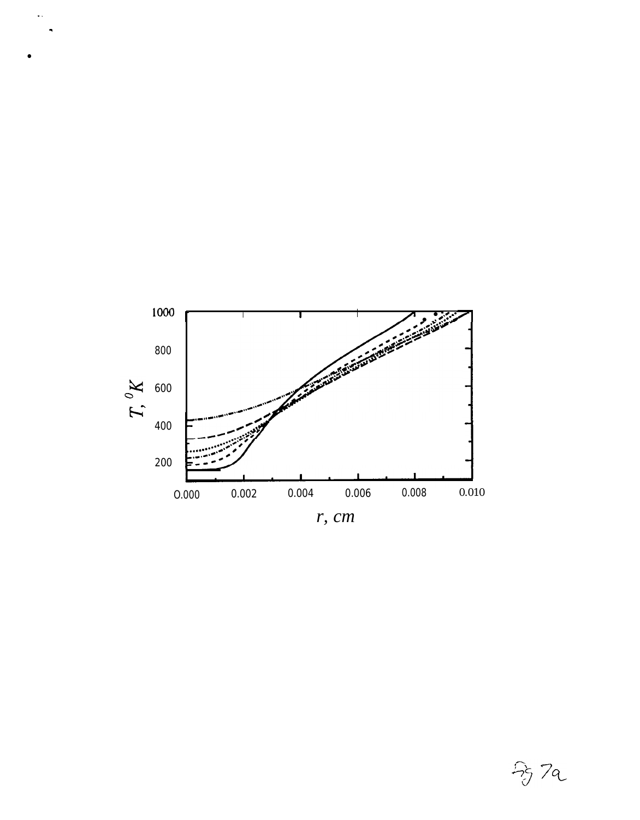

 $\bar{\psi}$  .

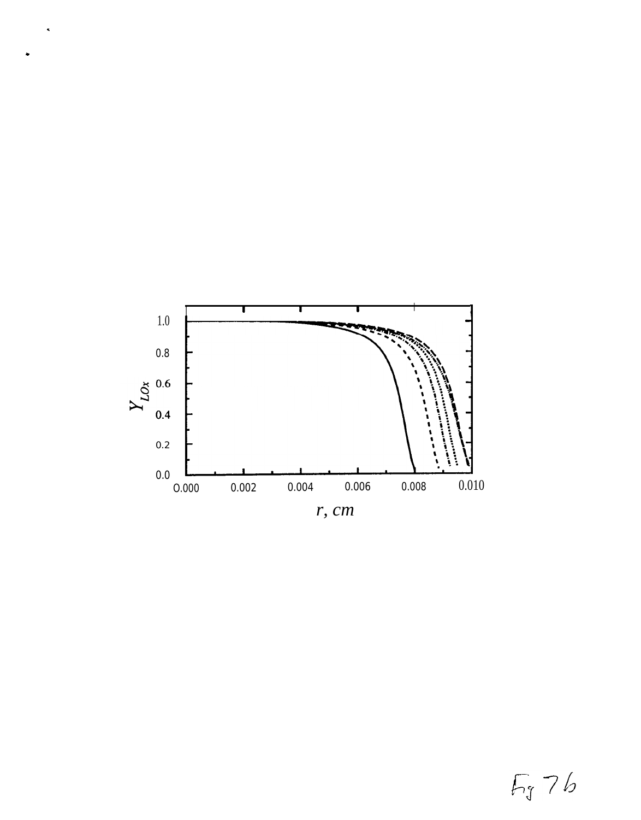

 $\tilde{\phantom{a}}$ 

 $F_{J}$ 76